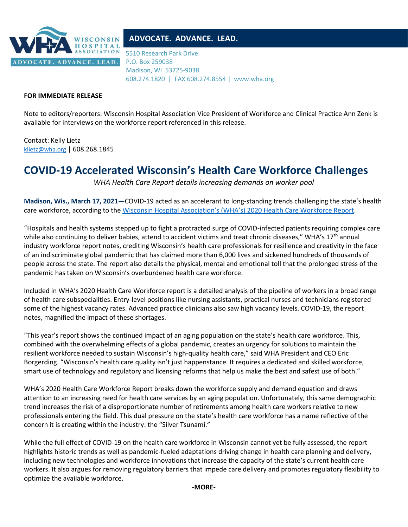

## **ADVOCATE. ADVANCE. LEAD.**

5510 Research Park Drive P.O. Box 259038 Madison, WI 53725-9038 608.274.1820 | FAX 608.274.8554 | www.wha.org

## **FOR IMMEDIATE RELEASE**

Note to editors/reporters: Wisconsin Hospital Association Vice President of Workforce and Clinical Practice Ann Zenk is available for interviews on the workforce report referenced in this release.

Contact: Kelly Lietz [klietz@wha.org](mailto:klietz@wha.org) | 608.268.1845

## **COVID-19 Accelerated Wisconsin's Health Care Workforce Challenges**

*WHA Health Care Report details increasing demands on worker pool*

**Madison, Wis., March 17, 2021—**COVID-19 acted as an accelerant to long-standing trends challenging the state's health care workforce, according to the [Wisconsin Hospital Association's \(WHA's\)](http://www.wha.org/workforce-report) 2020 Health Care Workforce Report.

"Hospitals and health systems stepped up to fight a protracted surge of COVID-infected patients requiring complex care while also continuing to deliver babies, attend to accident victims and treat chronic diseases," WHA's 17<sup>th</sup> annual industry workforce report notes, crediting Wisconsin's health care professionals for resilience and creativity in the face of an indiscriminate global pandemic that has claimed more than 6,000 lives and sickened hundreds of thousands of people across the state. The report also details the physical, mental and emotional toll that the prolonged stress of the pandemic has taken on Wisconsin's overburdened health care workforce.

Included in WHA's 2020 Health Care Workforce report is a detailed analysis of the pipeline of workers in a broad range of health care subspecialities. Entry-level positions like nursing assistants, practical nurses and technicians registered some of the highest vacancy rates. Advanced practice clinicians also saw high vacancy levels. COVID-19, the report notes, magnified the impact of these shortages.

"This year's report shows the continued impact of an aging population on the state's health care workforce. This, combined with the overwhelming effects of a global pandemic, creates an urgency for solutions to maintain the resilient workforce needed to sustain Wisconsin's high-quality health care," said WHA President and CEO Eric Borgerding. "Wisconsin's health care quality isn't just happenstance. It requires a dedicated and skilled workforce, smart use of technology and regulatory and licensing reforms that help us make the best and safest use of both."

WHA's 2020 Health Care Workforce Report breaks down the workforce supply and demand equation and draws attention to an increasing need for health care services by an aging population. Unfortunately, this same demographic trend increases the risk of a disproportionate number of retirements among health care workers relative to new professionals entering the field. This dual pressure on the state's health care workforce has a name reflective of the concern it is creating within the industry: the "Silver Tsunami."

While the full effect of COVID-19 on the health care workforce in Wisconsin cannot yet be fully assessed, the report highlights historic trends as well as pandemic-fueled adaptations driving change in health care planning and delivery, including new technologies and workforce innovations that increase the capacity of the state's current health care workers. It also argues for removing regulatory barriers that impede care delivery and promotes regulatory flexibility to optimize the available workforce.